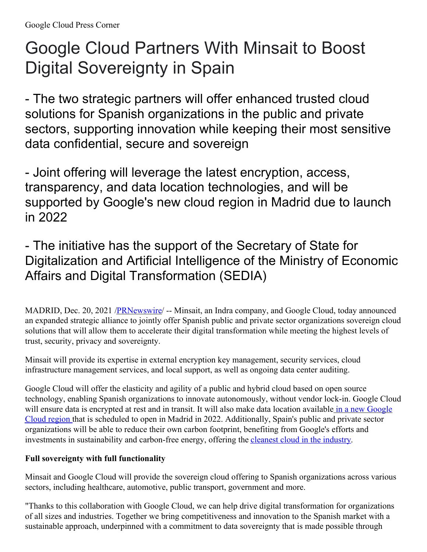# Google Cloud Partners With Minsait to Boost Digital Sovereignty in Spain

- The two strategic partners will offer enhanced trusted cloud solutions for Spanish organizations in the public and private sectors, supporting innovation while keeping their most sensitive data confidential, secure and sovereign

- Joint offering will leverage the latest encryption, access, transparency, and data location technologies, and will be supported by Google's new cloud region in Madrid due to launch in 2022

- The initiative has the support of the Secretary of State for Digitalization and Artificial Intelligence of the Ministry of Economic Affairs and Digital Transformation (SEDIA)

MADRID, Dec. 20, 2021 /**PRNewswire/** -- Minsait, an Indra company, and Google Cloud, today announced an expanded strategic alliance to jointly offer Spanish public and private sector organizations sovereign cloud solutions that will allow them to accelerate their digital transformation while meeting the highest levels of trust, security, privacy and sovereignty.

Minsait will provide its expertise in external encryption key management, security services, cloud infrastructure management services, and local support, as well as ongoing data center auditing.

Google Cloud will offer the elasticity and agility of a public and hybrid cloud based on open source technology, enabling Spanish organizations to innovate autonomously, without vendor lock-in. Google Cloud will ensure data is encrypted at rest and in transit. It will also make data location available in a new Google Cloud region that is scheduled to open in Madrid in 2022. [Additionally,](https://c212.net/c/link/?t=0&l=en&o=3393797-1&h=1863679731&u=https%3A%2F%2Fespana.googleblog.com%2F2020%2F06%2Facelerar-la-competitividad-digital-de.html&a=%C2%A0in+a+new+Google+Cloud+region+) Spain's public and private sector organizations will be able to reduce their own carbon footprint, benefiting from Google's efforts and investments in sustainability and carbon-free energy, offering the cleanest cloud in the [industry](https://c212.net/c/link/?t=0&l=en&o=3393797-1&h=1723838348&u=https%3A%2F%2Fcloud.google.com%2Fblog%2Ftopics%2Fsustainability&a=cleanest+cloud+in+the+industry).

## **Full sovereignty with full functionality**

Minsait and Google Cloud will provide the sovereign cloud offering to Spanish organizations across various sectors, including healthcare, automotive, public transport, government and more.

"Thanks to this collaboration with Google Cloud, we can help drive digital transformation for organizations of all sizes and industries. Together we bring competitiveness and innovation to the Spanish market with a sustainable approach, underpinned with a commitment to data sovereignty that is made possible through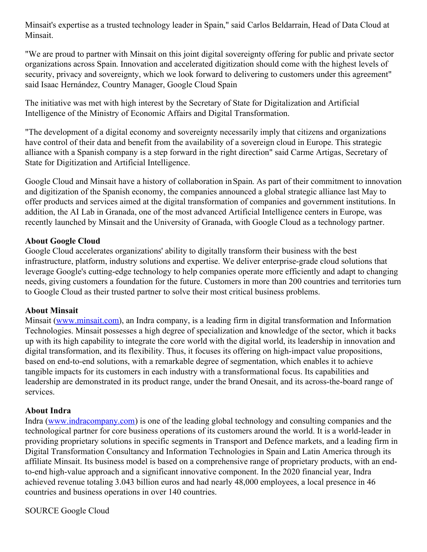Minsait's expertise as a trusted technology leader in Spain," said Carlos Beldarrain, Head of Data Cloud at Minsait.

"We are proud to partner with Minsait on this joint digital sovereignty offering for public and private sector organizations across Spain. Innovation and accelerated digitization should come with the highest levels of security, privacy and sovereignty, which we look forward to delivering to customers under this agreement" said Isaac Hernández, Country Manager, Google Cloud Spain

The initiative was met with high interest by the Secretary of State for Digitalization and Artificial Intelligence of the Ministry of Economic Affairs and Digital Transformation.

"The development of a digital economy and sovereignty necessarily imply that citizens and organizations have control of their data and benefit from the availability of a sovereign cloud in Europe. This strategic alliance with a Spanish company is a step forward in the right direction" said Carme Artigas, Secretary of State for Digitization and Artificial Intelligence.

Google Cloud and Minsait have a history of collaboration inSpain. As part of their commitment to innovation and digitization of the Spanish economy, the companies announced a global strategic alliance last May to offer products and services aimed at the digital transformation of companies and government institutions. In addition, the AI Lab in Granada, one of the most advanced Artificial Intelligence centers in Europe, was recently launched by Minsait and the University of Granada, with Google Cloud as a technology partner.

#### **About Google Cloud**

Google Cloud accelerates organizations' ability to digitally transform their business with the best infrastructure, platform, industry solutions and expertise. We deliver enterprise-grade cloud solutions that leverage Google's cutting-edge technology to help companies operate more efficiently and adapt to changing needs, giving customers a foundation for the future. Customers in more than 200 countries and territories turn to Google Cloud as their trusted partner to solve their most critical business problems.

### **About Minsait**

Minsait [\(www.minsait.com](https://c212.net/c/link/?t=0&l=en&o=3393797-1&h=4099659493&u=http%3A%2F%2Fwww.minsait.com%2F&a=www.minsait.com)), an Indra company, is a leading firm in digital transformation and Information Technologies. Minsait possesses a high degree of specialization and knowledge of the sector, which it backs up with its high capability to integrate the core world with the digital world, its leadership in innovation and digital transformation, and its flexibility. Thus, it focuses its offering on high-impact value propositions, based on end-to-end solutions, with a remarkable degree of segmentation, which enables it to achieve tangible impacts for its customers in each industry with a transformational focus. Its capabilities and leadership are demonstrated in its product range, under the brand Onesait, and its across-the-board range of services.

#### **About Indra**

Indra [\(www.indracompany.com](https://c212.net/c/link/?t=0&l=en&o=3393797-1&h=1092539325&u=http%3A%2F%2Fwww.indracompany.com%2F&a=www.indracompany.com)) is one of the leading global technology and consulting companies and the technological partner for core business operations of its customers around the world. It is a world-leader in providing proprietary solutions in specific segments in Transport and Defence markets, and a leading firm in Digital Transformation Consultancy and Information Technologies in Spain and Latin America through its affiliate Minsait. Its business model is based on a comprehensive range of proprietary products, with an endto-end high-value approach and a significant innovative component. In the 2020 financial year, Indra achieved revenue totaling 3.043 billion euros and had nearly 48,000 employees, a local presence in 46 countries and business operations in over 140 countries.

SOURCE Google Cloud